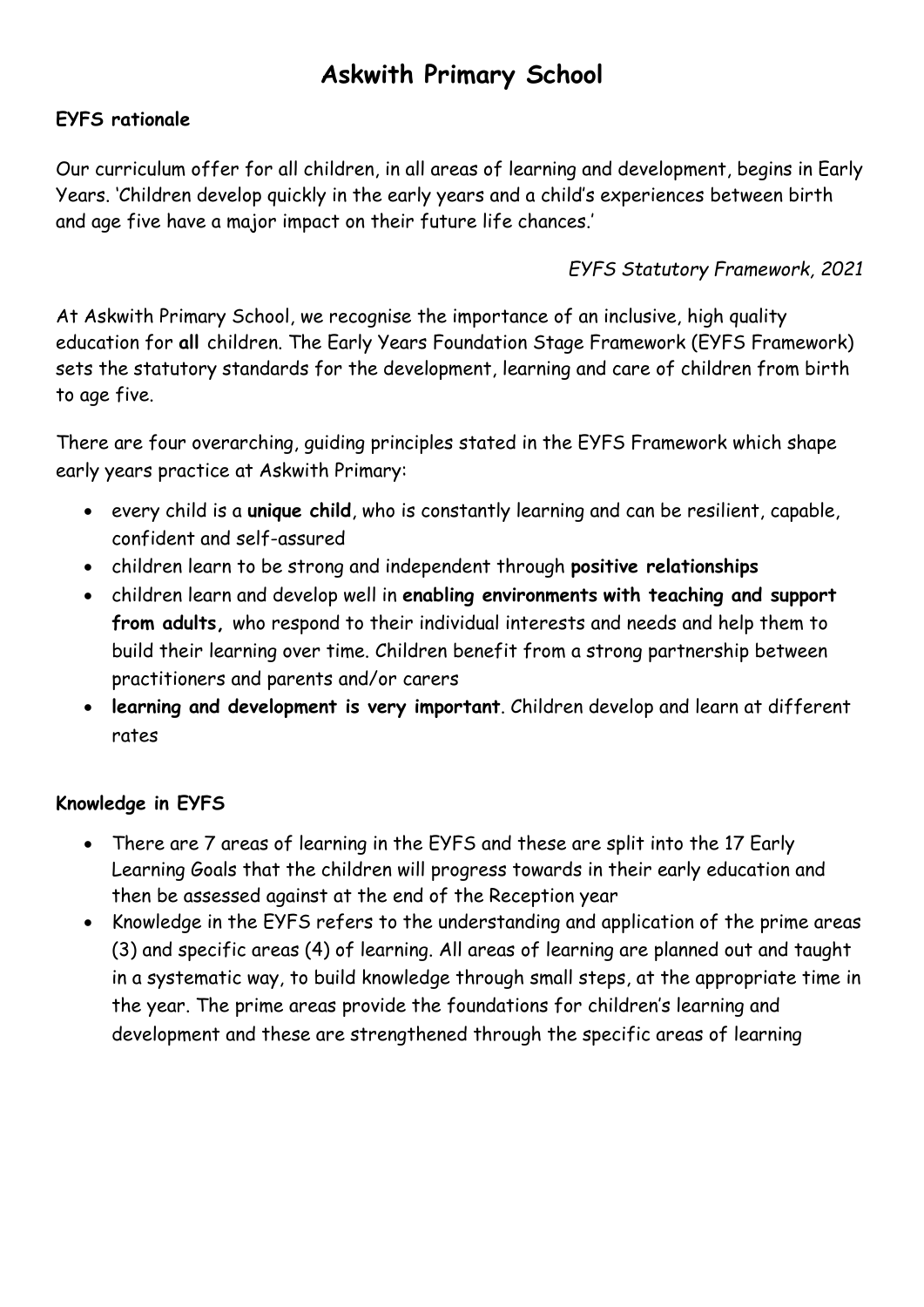## **Askwith Primary School**

## **EYFS rationale**

Our curriculum offer for all children, in all areas of learning and development, begins in Early Years. 'Children develop quickly in the early years and a child's experiences between birth and age five have a major impact on their future life chances.'

## *EYFS Statutory Framework, 2021*

At Askwith Primary School, we recognise the importance of an inclusive, high quality education for **all** children. The Early Years Foundation Stage Framework (EYFS Framework) sets the statutory standards for the development, learning and care of children from birth to age five.

There are four overarching, guiding principles stated in the EYFS Framework which shape early years practice at Askwith Primary:

- every child is a **unique child**, who is constantly learning and can be resilient, capable, confident and self-assured
- children learn to be strong and independent through **positive relationships**
- children learn and develop well in **enabling environments with teaching and support from adults,** who respond to their individual interests and needs and help them to build their learning over time. Children benefit from a strong partnership between practitioners and parents and/or carers
- **learning and development is very important**. Children develop and learn at different rates

## **Knowledge in EYFS**

- There are 7 areas of learning in the EYFS and these are split into the 17 Early Learning Goals that the children will progress towards in their early education and then be assessed against at the end of the Reception year
- Knowledge in the EYFS refers to the understanding and application of the prime areas (3) and specific areas (4) of learning. All areas of learning are planned out and taught in a systematic way, to build knowledge through small steps, at the appropriate time in the year. The prime areas provide the foundations for children's learning and development and these are strengthened through the specific areas of learning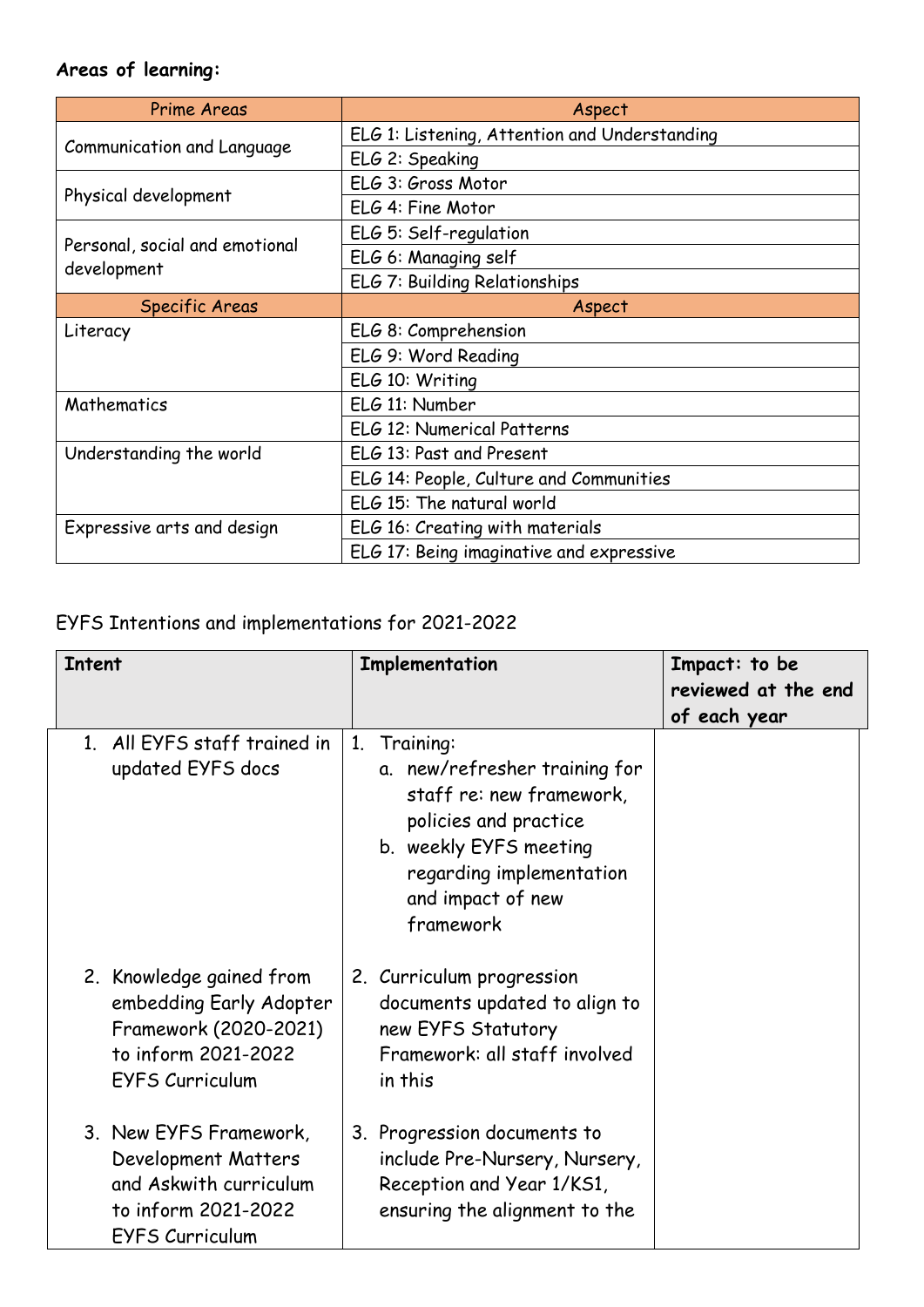# **Areas of learning:**

| <b>Prime Areas</b>                            | Aspect                                        |  |
|-----------------------------------------------|-----------------------------------------------|--|
| Communication and Language                    | ELG 1: Listening, Attention and Understanding |  |
|                                               | ELG 2: Speaking                               |  |
| Physical development                          | ELG 3: Gross Motor                            |  |
|                                               | ELG 4: Fine Motor                             |  |
| Personal, social and emotional<br>development | ELG 5: Self-regulation                        |  |
|                                               | ELG 6: Managing self                          |  |
|                                               | ELG 7: Building Relationships                 |  |
| Specific Areas                                | Aspect                                        |  |
| Literacy                                      | ELG 8: Comprehension                          |  |
|                                               | ELG 9: Word Reading                           |  |
|                                               | ELG 10: Writing                               |  |
| Mathematics                                   | ELG 11: Number                                |  |
|                                               | ELG 12: Numerical Patterns                    |  |
| Understanding the world                       | ELG 13: Past and Present                      |  |
|                                               | ELG 14: People, Culture and Communities       |  |
|                                               | ELG 15: The natural world                     |  |
| Expressive arts and design                    | ELG 16: Creating with materials               |  |
|                                               | ELG 17: Being imaginative and expressive      |  |

# EYFS Intentions and implementations for 2021-2022

| <b>Intent</b>                                                                                                                 | Implementation                                                                                                                                                                                            | Impact: to be<br>reviewed at the end<br>of each year |
|-------------------------------------------------------------------------------------------------------------------------------|-----------------------------------------------------------------------------------------------------------------------------------------------------------------------------------------------------------|------------------------------------------------------|
| 1. All EYFS staff trained in<br>updated EYFS docs                                                                             | 1 <sub>1</sub><br>Training:<br>a. new/refresher training for<br>staff re: new framework,<br>policies and practice<br>b. weekly EYFS meeting<br>regarding implementation<br>and impact of new<br>framework |                                                      |
| 2. Knowledge gained from<br>embedding Early Adopter<br>Framework (2020-2021)<br>to inform 2021-2022<br><b>EYFS Curriculum</b> | 2. Curriculum progression<br>documents updated to align to<br>new EYFS Statutory<br>Framework: all staff involved<br>in this                                                                              |                                                      |
| 3. New EYFS Framework,<br>Development Matters<br>and Askwith curriculum<br>to inform 2021-2022<br><b>EYFS Curriculum</b>      | 3. Progression documents to<br>include Pre-Nursery, Nursery,<br>Reception and Year 1/KS1,<br>ensuring the alignment to the                                                                                |                                                      |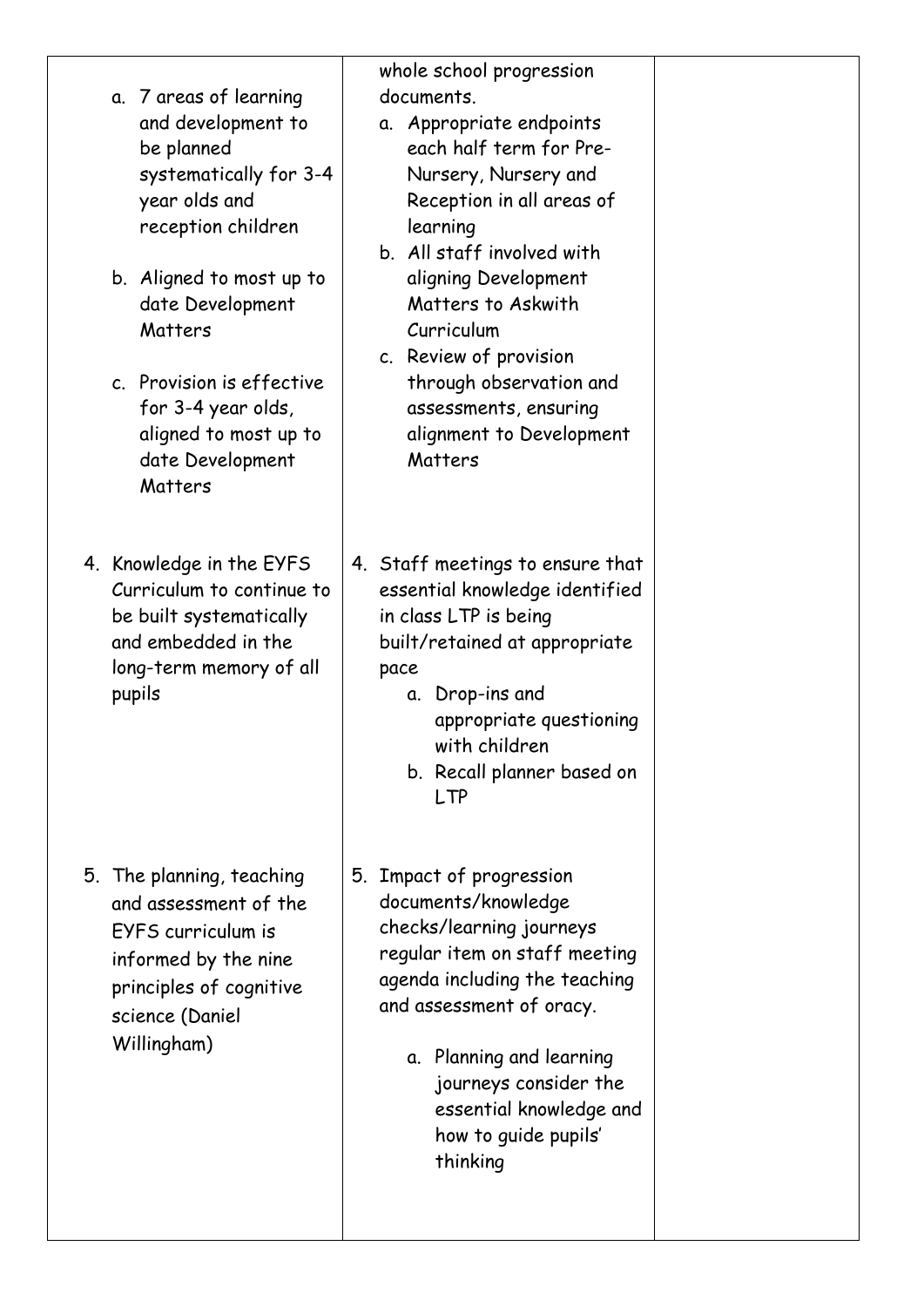- a. 7 areas of learning and development to be planned systematically for 3-4 year olds and reception children
- b. Aligned to most up to date Development **Matters**
- c. Provision is effective for 3-4 year olds, aligned to most up to date Development Matters
- 4. Knowledge in the EYFS Curriculum to continue to be built systematically and embedded in the long-term memory of all pupils

5. The planning, teaching and assessment of the EYFS curriculum is informed by the nine principles of cognitive science (Daniel Willingham)

whole school progression documents.

- a. Appropriate endpoints each half term for Pre-Nursery, Nursery and Reception in all areas of learning
- b. All staff involved with aligning Development Matters to Askwith Curriculum
- c. Review of provision through observation and assessments, ensuring alignment to Development Matters
- 4. Staff meetings to ensure that essential knowledge identified in class LTP is being built/retained at appropriate pace
	- a. Drop-ins and appropriate questioning with children
	- b. Recall planner based on LTP
- 5. Impact of progression documents/knowledge checks/learning journeys regular item on staff meeting agenda including the teaching and assessment of oracy.
	- a. Planning and learning journeys consider the essential knowledge and how to guide pupils' thinking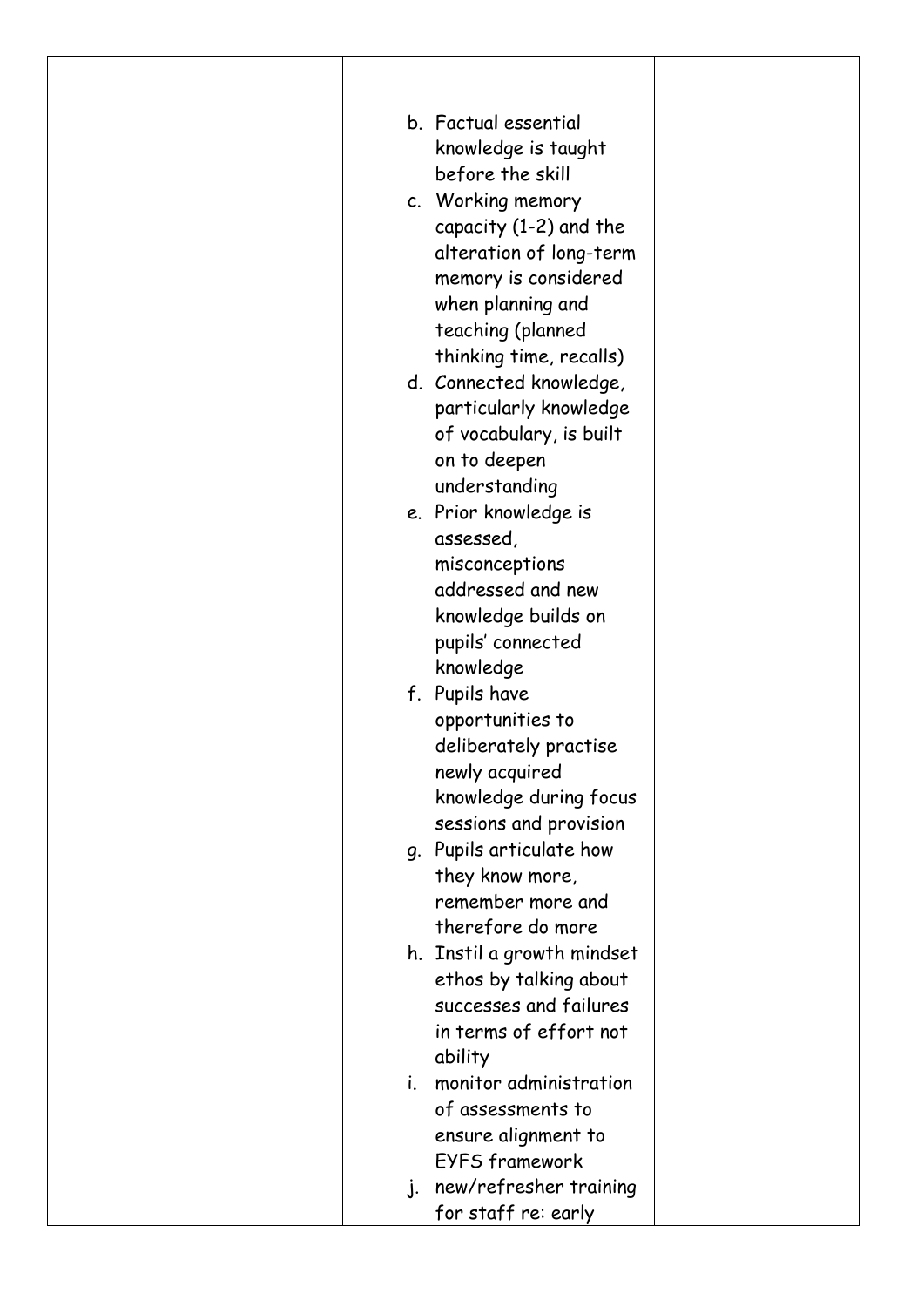| b. Factual essential<br>knowledge is taught<br>before the skill                                         |  |
|---------------------------------------------------------------------------------------------------------|--|
| c. Working memory<br>capacity $(1-2)$ and the<br>alteration of long-term                                |  |
| memory is considered<br>when planning and<br>teaching (planned                                          |  |
| thinking time, recalls)<br>d. Connected knowledge,<br>particularly knowledge<br>of vocabulary, is built |  |
| on to deepen<br>understanding                                                                           |  |
| e. Prior knowledge is<br>assessed,<br>misconceptions<br>addressed and new                               |  |
| knowledge builds on<br>pupils' connected<br>knowledge                                                   |  |
| f. Pupils have<br>opportunities to                                                                      |  |
| deliberately practise<br>newly acquired<br>knowledge during focus                                       |  |
| sessions and provision<br>g. Pupils articulate how                                                      |  |
| they know more,<br>remember more and<br>therefore do more                                               |  |
| h. Instil a growth mindset<br>ethos by talking about<br>successes and failures                          |  |
| in terms of effort not<br>ability                                                                       |  |
| monitor administration<br>i.<br>of assessments to<br>ensure alignment to                                |  |
| <b>EYFS framework</b>                                                                                   |  |
| new/refresher training<br>$\cdot$ .<br>for staff re: early                                              |  |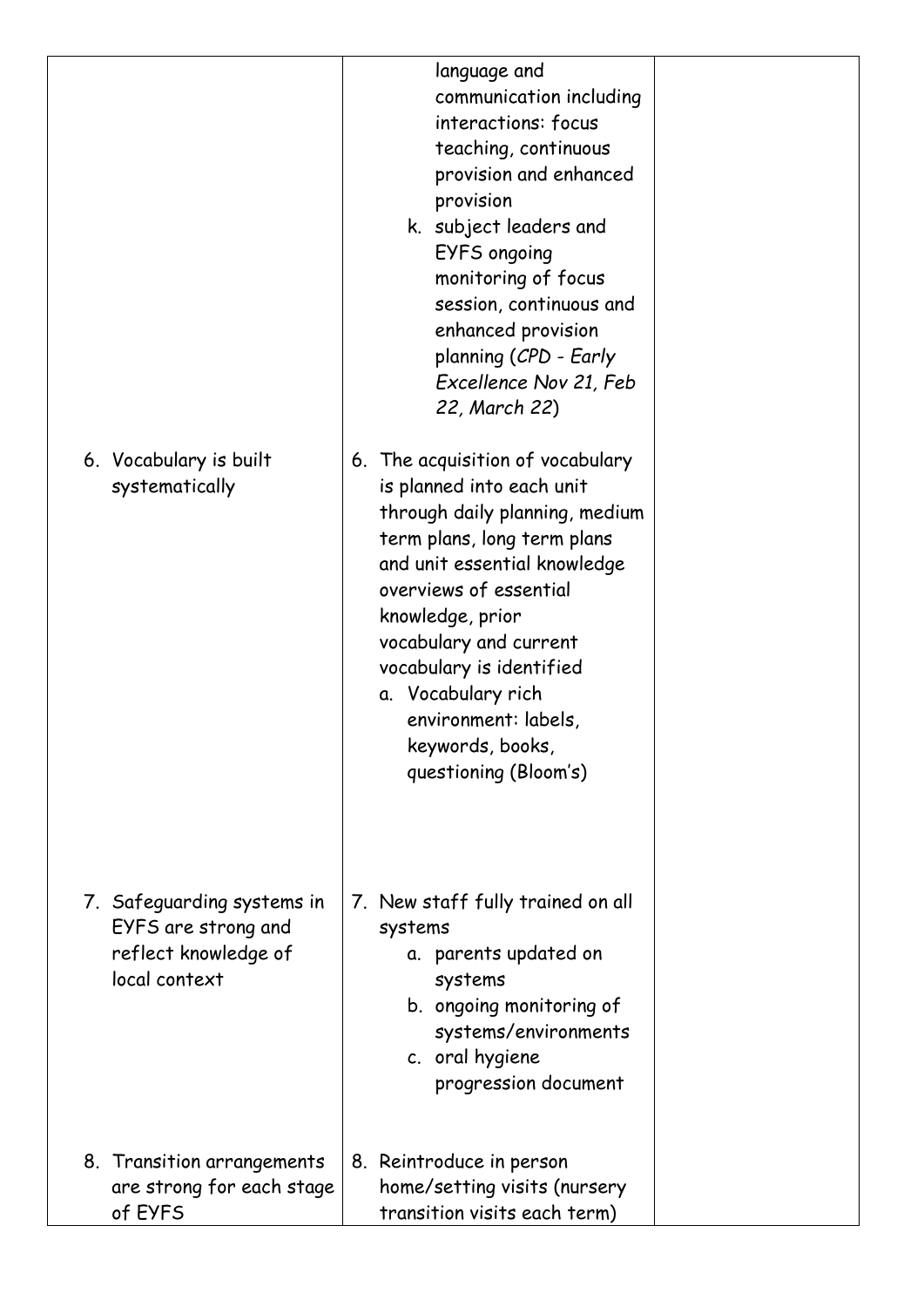| 6. Vocabulary is built<br>systematically                                                   | language and<br>communication including<br>interactions: focus<br>teaching, continuous<br>provision and enhanced<br>provision<br>k. subject leaders and<br>EYFS ongoing<br>monitoring of focus<br>session, continuous and<br>enhanced provision<br>planning (CPD - Early<br>Excellence Nov 21, Feb<br>22, March 22)<br>6. The acquisition of vocabulary<br>is planned into each unit |  |
|--------------------------------------------------------------------------------------------|--------------------------------------------------------------------------------------------------------------------------------------------------------------------------------------------------------------------------------------------------------------------------------------------------------------------------------------------------------------------------------------|--|
|                                                                                            | through daily planning, medium<br>term plans, long term plans<br>and unit essential knowledge<br>overviews of essential<br>knowledge, prior<br>vocabulary and current<br>vocabulary is identified<br>a. Vocabulary rich<br>environment: labels,<br>keywords, books,<br>questioning (Bloom's)                                                                                         |  |
| 7. Safeguarding systems in<br>EYFS are strong and<br>reflect knowledge of<br>local context | 7. New staff fully trained on all<br>systems<br>a. parents updated on<br>systems<br>b. ongoing monitoring of<br>systems/environments<br>c. oral hygiene<br>progression document                                                                                                                                                                                                      |  |
| 8. Transition arrangements<br>are strong for each stage<br>of EYFS                         | 8. Reintroduce in person<br>home/setting visits (nursery<br>transition visits each term)                                                                                                                                                                                                                                                                                             |  |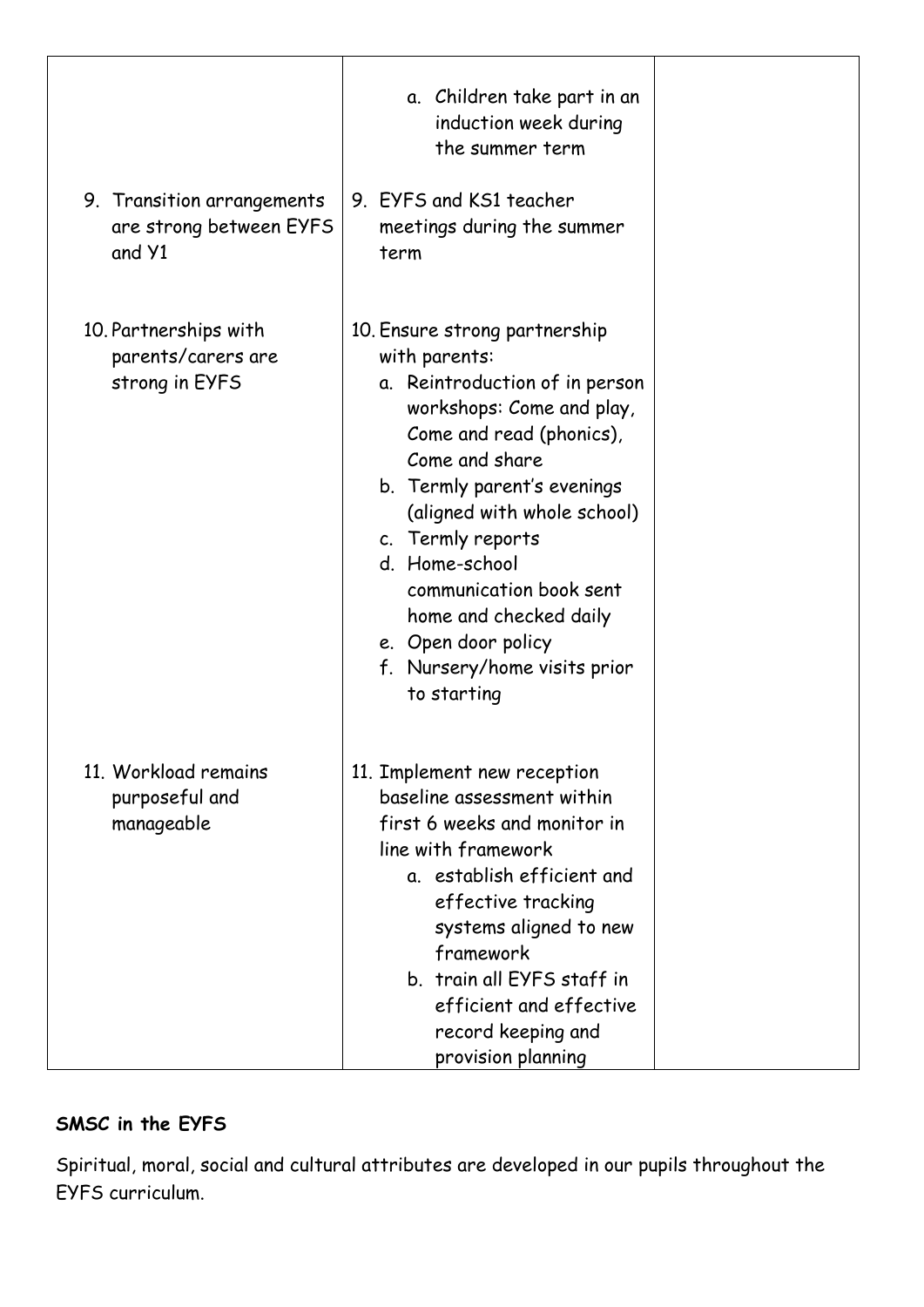| 9. Transition arrangements<br>are strong between EYFS<br>and Y1 | a. Children take part in an<br>induction week during<br>the summer term<br>9. EYFS and KS1 teacher<br>meetings during the summer<br>term                                                                                                                                                                                                                                                    |  |
|-----------------------------------------------------------------|---------------------------------------------------------------------------------------------------------------------------------------------------------------------------------------------------------------------------------------------------------------------------------------------------------------------------------------------------------------------------------------------|--|
| 10. Partnerships with<br>parents/carers are<br>strong in EYFS   | 10. Ensure strong partnership<br>with parents:<br>a. Reintroduction of in person<br>workshops: Come and play,<br>Come and read (phonics),<br>Come and share<br>b. Termly parent's evenings<br>(aligned with whole school)<br>c. Termly reports<br>d. Home-school<br>communication book sent<br>home and checked daily<br>e. Open door policy<br>f. Nursery/home visits prior<br>to starting |  |
| 11. Workload remains<br>purposeful and<br>manageable            | 11. Implement new reception<br>baseline assessment within<br>first 6 weeks and monitor in<br>line with framework<br>a. establish efficient and<br>effective tracking<br>systems aligned to new<br>framework<br>b. train all EYFS staff in<br>efficient and effective<br>record keeping and<br>provision planning                                                                            |  |

## **SMSC in the EYFS**

Spiritual, moral, social and cultural attributes are developed in our pupils throughout the EYFS curriculum.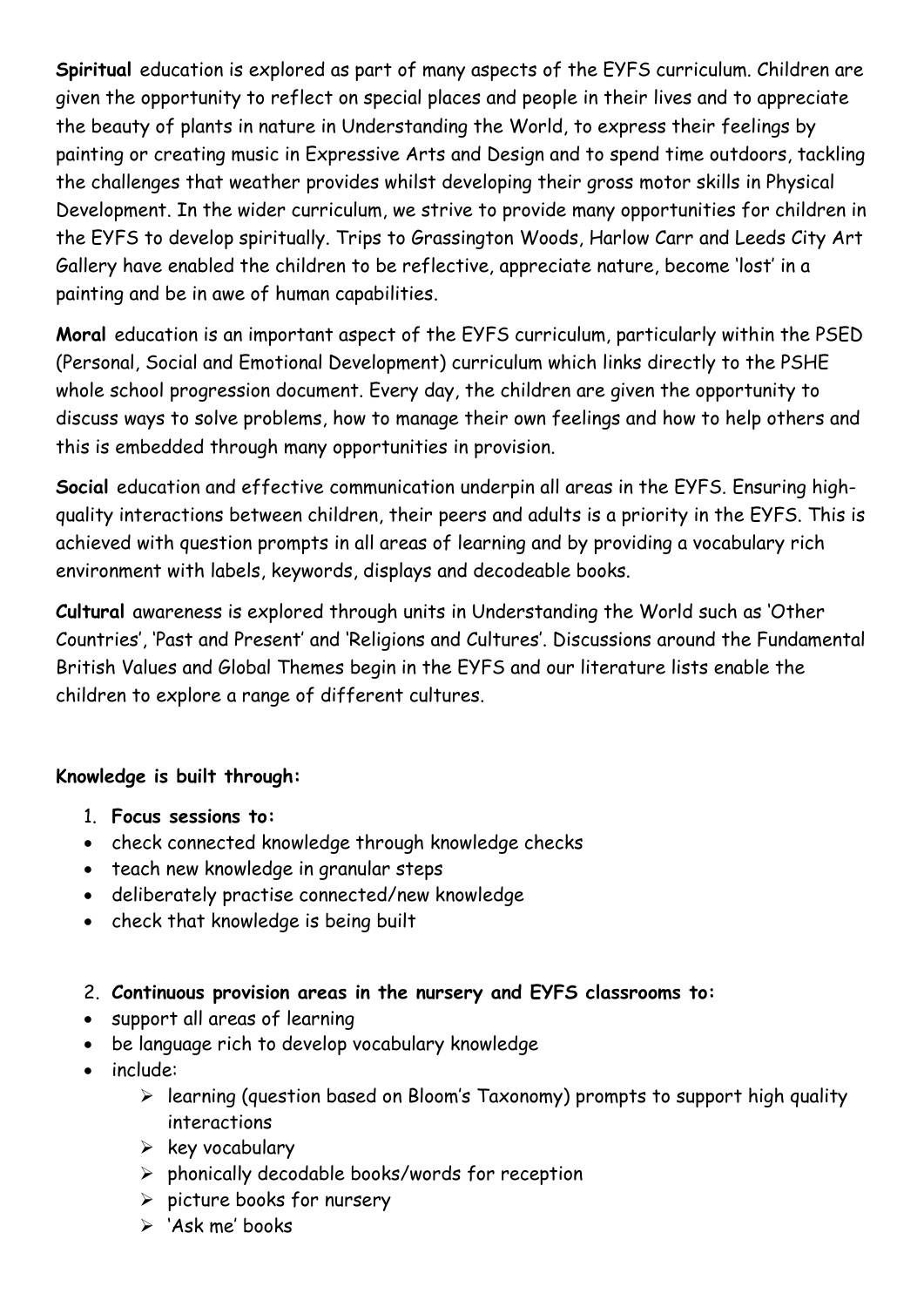**Spiritual** education is explored as part of many aspects of the EYFS curriculum. Children are given the opportunity to reflect on special places and people in their lives and to appreciate the beauty of plants in nature in Understanding the World, to express their feelings by painting or creating music in Expressive Arts and Design and to spend time outdoors, tackling the challenges that weather provides whilst developing their gross motor skills in Physical Development. In the wider curriculum, we strive to provide many opportunities for children in the EYFS to develop spiritually. Trips to Grassington Woods, Harlow Carr and Leeds City Art Gallery have enabled the children to be reflective, appreciate nature, become 'lost' in a painting and be in awe of human capabilities.

**Moral** education is an important aspect of the EYFS curriculum, particularly within the PSED (Personal, Social and Emotional Development) curriculum which links directly to the PSHE whole school progression document. Every day, the children are given the opportunity to discuss ways to solve problems, how to manage their own feelings and how to help others and this is embedded through many opportunities in provision.

**Social** education and effective communication underpin all areas in the EYFS. Ensuring highquality interactions between children, their peers and adults is a priority in the EYFS. This is achieved with question prompts in all areas of learning and by providing a vocabulary rich environment with labels, keywords, displays and decodeable books.

**Cultural** awareness is explored through units in Understanding the World such as 'Other Countries', 'Past and Present' and 'Religions and Cultures'. Discussions around the Fundamental British Values and Global Themes begin in the EYFS and our literature lists enable the children to explore a range of different cultures.

## **Knowledge is built through:**

- 1. **Focus sessions to:**
- check connected knowledge through knowledge checks
- teach new knowledge in granular steps
- deliberately practise connected/new knowledge
- check that knowledge is being built
- 2. **Continuous provision areas in the nursery and EYFS classrooms to:**
- support all areas of learning
- be language rich to develop vocabulary knowledge
- include:
	- ➢ learning (question based on Bloom's Taxonomy) prompts to support high quality interactions
	- $\triangleright$  key vocabulary
	- ➢ phonically decodable books/words for reception
	- ➢ picture books for nursery
	- ➢ 'Ask me' books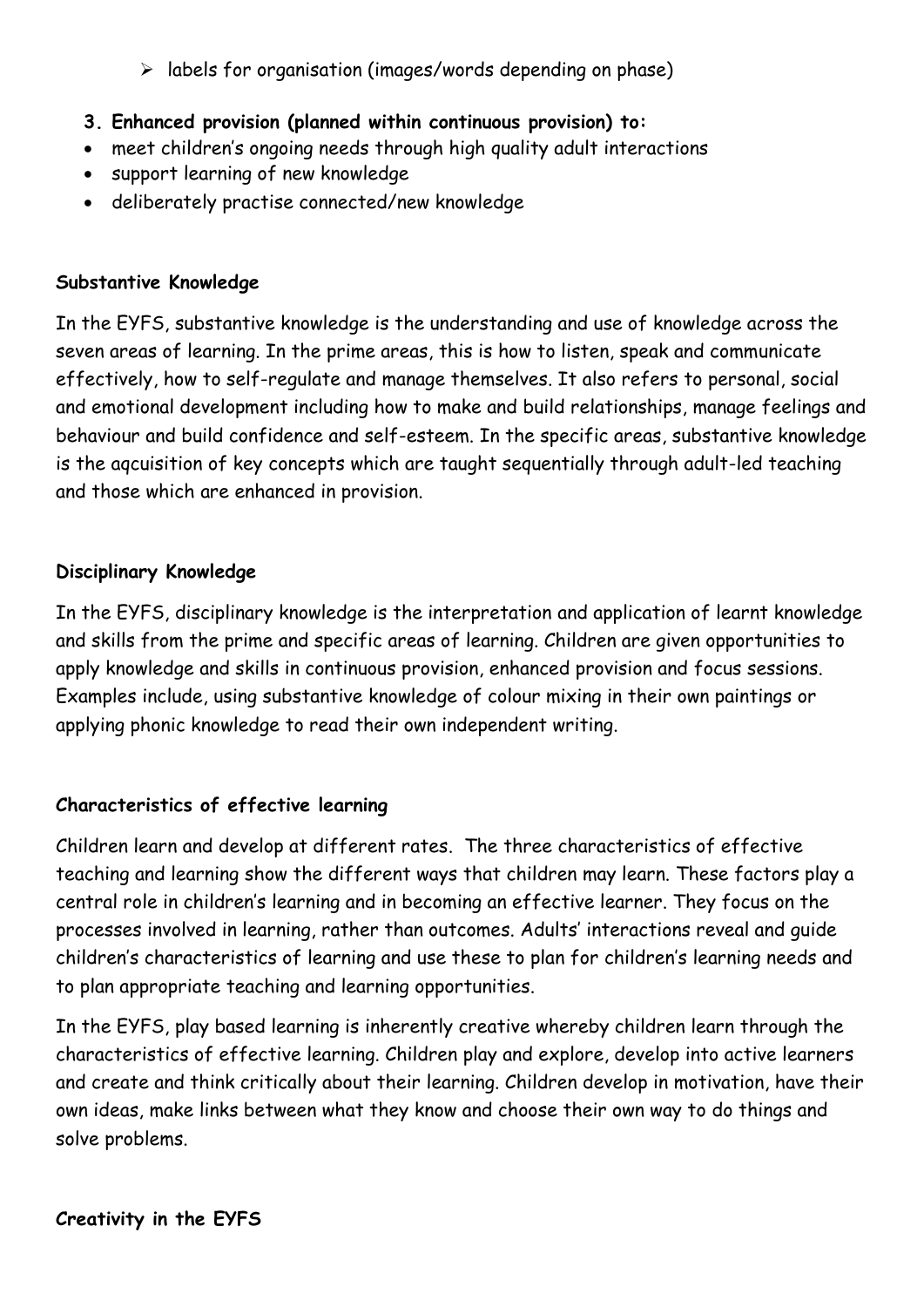➢ labels for organisation (images/words depending on phase)

- **3. Enhanced provision (planned within continuous provision) to:**
- meet children's ongoing needs through high quality adult interactions
- support learning of new knowledge
- deliberately practise connected/new knowledge

## **Substantive Knowledge**

In the EYFS, substantive knowledge is the understanding and use of knowledge across the seven areas of learning. In the prime areas, this is how to listen, speak and communicate effectively, how to self-regulate and manage themselves. It also refers to personal, social and emotional development including how to make and build relationships, manage feelings and behaviour and build confidence and self-esteem. In the specific areas, substantive knowledge is the aqcuisition of key concepts which are taught sequentially through adult-led teaching and those which are enhanced in provision.

## **Disciplinary Knowledge**

In the EYFS, disciplinary knowledge is the interpretation and application of learnt knowledge and skills from the prime and specific areas of learning. Children are given opportunities to apply knowledge and skills in continuous provision, enhanced provision and focus sessions. Examples include, using substantive knowledge of colour mixing in their own paintings or applying phonic knowledge to read their own independent writing.

## **Characteristics of effective learning**

Children learn and develop at different rates. The three characteristics of effective teaching and learning show the different ways that children may learn. These factors play a central role in children's learning and in becoming an effective learner. They focus on the processes involved in learning, rather than outcomes. Adults' interactions reveal and guide children's characteristics of learning and use these to plan for children's learning needs and to plan appropriate teaching and learning opportunities.

In the EYFS, play based learning is inherently creative whereby children learn through the characteristics of effective learning. Children play and explore, develop into active learners and create and think critically about their learning. Children develop in motivation, have their own ideas, make links between what they know and choose their own way to do things and solve problems.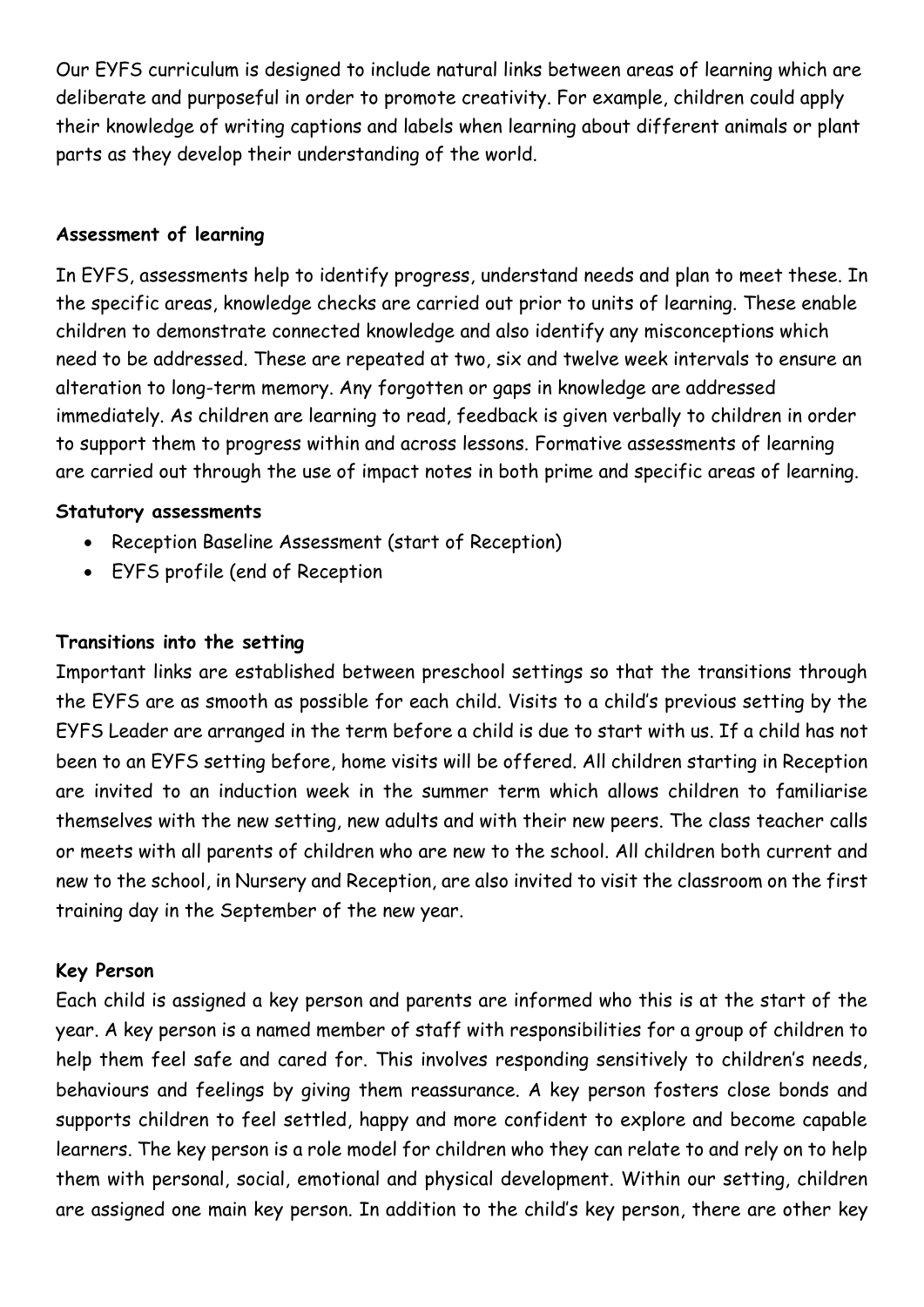Our EYFS curriculum is designed to include natural links between areas of learning which are deliberate and purposeful in order to promote creativity. For example, children could apply their knowledge of writing captions and labels when learning about different animals or plant parts as they develop their understanding of the world.

#### **Assessment of learning**

In EYFS, assessments help to identify progress, understand needs and plan to meet these. In the specific areas, knowledge checks are carried out prior to units of learning. These enable children to demonstrate connected knowledge and also identify any misconceptions which need to be addressed. These are repeated at two, six and twelve week intervals to ensure an alteration to long-term memory. Any forgotten or gaps in knowledge are addressed immediately. As children are learning to read, feedback is given verbally to children in order to support them to progress within and across lessons. Formative assessments of learning are carried out through the use of impact notes in both prime and specific areas of learning.

#### **Statutory assessments**

- Reception Baseline Assessment (start of Reception)
- EYFS profile (end of Reception

### **Transitions into the setting**

Important links are established between preschool settings so that the transitions through the EYFS are as smooth as possible for each child. Visits to a child's previous setting by the EYFS Leader are arranged in the term before a child is due to start with us. If a child has not been to an EYFS setting before, home visits will be offered. All children starting in Reception are invited to an induction week in the summer term which allows children to familiarise themselves with the new setting, new adults and with their new peers. The class teacher calls or meets with all parents of children who are new to the school. All children both current and new to the school, in Nursery and Reception, are also invited to visit the classroom on the first training day in the September of the new year.

#### **Key Person**

Each child is assigned a key person and parents are informed who this is at the start of the year. A key person is a named member of staff with responsibilities for a group of children to help them feel safe and cared for. This involves responding sensitively to children's needs, behaviours and feelings by giving them reassurance. A key person fosters close bonds and supports children to feel settled, happy and more confident to explore and become capable learners. The key person is a role model for children who they can relate to and rely on to help them with personal, social, emotional and physical development. Within our setting, children are assigned one main key person. In addition to the child's key person, there are other key